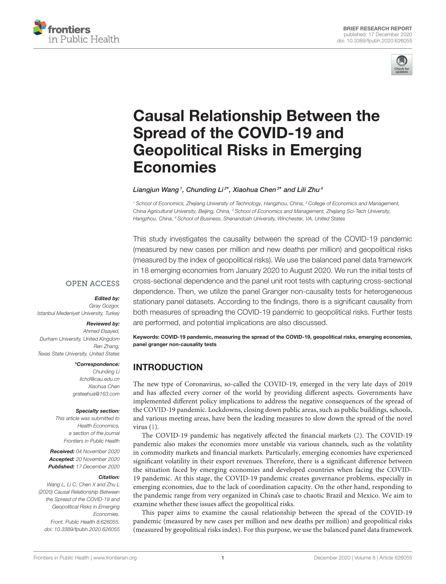



# [Causal Relationship Between the](https://www.frontiersin.org/articles/10.3389/fpubh.2020.626055/full) Spread of the COVID-19 and Geopolitical Risks in Emerging Economies

#### Liangjun Wang<sup>1</sup>, Chunding Li<sup>2\*</sup>, Xiaohua Chen<sup>3\*</sup> and Lili Zhu<sup>4</sup>

*<sup>1</sup> School of Economics, Zhejiang University of Technology, Hangzhou, China, <sup>2</sup> College of Economics and Management, China Agricultural University, Beijing, China, <sup>3</sup> School of Economics and Management, Zhejiang Sci-Tech University, Hangzhou, China, <sup>4</sup> School of Business, Shenandoah University, Winchester, VA, United States*

This study investigates the causality between the spread of the COVID-19 pandemic (measured by new cases per million and new deaths per million) and geopolitical risks (measured by the index of geopolitical risks). We use the balanced panel data framework in 18 emerging economies from January 2020 to August 2020. We run the initial tests of cross-sectional dependence and the panel unit root tests with capturing cross-sectional dependence. Then, we utilize the panel Granger non-causality tests for heterogeneous stationary panel datasets. According to the findings, there is a significant causality from both measures of spreading the COVID-19 pandemic to geopolitical risks. Further tests are performed, and potential implications are also discussed.

**OPEN ACCESS** 

Edited by:

*Giray Gozgor, Istanbul Medeniyet University, Turkey*

#### Reviewed by:

*Ahmed Elsayed, Durham University, United Kingdom Ren Zhang, Texas State University, United States*

\*Correspondence:

*Chunding Li [lichd@cau.edu.cn](mailto:lichd@cau.edu.cn) Xiaohua Chen [grateehua@163.com](mailto:grateehua@163.com)*

#### Specialty section:

*This article was submitted to Health Economics, a section of the journal Frontiers in Public Health*

Received: *04 November 2020* Accepted: *20 November 2020* Published: *17 December 2020*

#### Citation:

*Wang L, Li C, Chen X and Zhu L (2020) Causal Relationship Between the Spread of the COVID-19 and Geopolitical Risks in Emerging Economies. Front. Public Health 8:626055. doi: [10.3389/fpubh.2020.626055](https://doi.org/10.3389/fpubh.2020.626055)* Keywords: COVID-19 pandemic, measuring the spread of the COVID-19, geopolitical risks, emerging economies, panel granger non-causality tests

## INTRODUCTION

The new type of Coronavirus, so-called the COVID-19, emerged in the very late days of 2019 and has affected every corner of the world by providing different aspects. Governments have implemented different policy implications to address the negative consequences of the spread of the COVID-19 pandemic. Lockdowns, closing down public areas, such as public buildings, schools, and various meeting areas, have been the leading measures to slow down the spread of the novel virus [\(1\)](#page-4-0).

The COVID-19 pandemic has negatively affected the financial markets [\(2\)](#page-4-1). The COVID-19 pandemic also makes the economies more unstable via various channels, such as the volatility in commodity markets and financial markets. Particularly, emerging economies have experienced significant volatility in their export revenues. Therefore, there is a significant difference between the situation faced by emerging economies and developed countries when facing the COVID-19 pandemic. At this stage, the COVID-19 pandemic creates governance problems, especially in emerging economies, due to the lack of coordination capacity. On the other hand, responding to the pandemic range from very organized in China's case to chaotic Brazil and Mexico. We aim to examine whether these issues affect the geopolitical risks.

This paper aims to examine the causal relationship between the spread of the COVID-19 pandemic (measured by new cases per million and new deaths per million) and geopolitical risks (measured by geopolitical risks index). For this purpose, we use the balanced panel data framework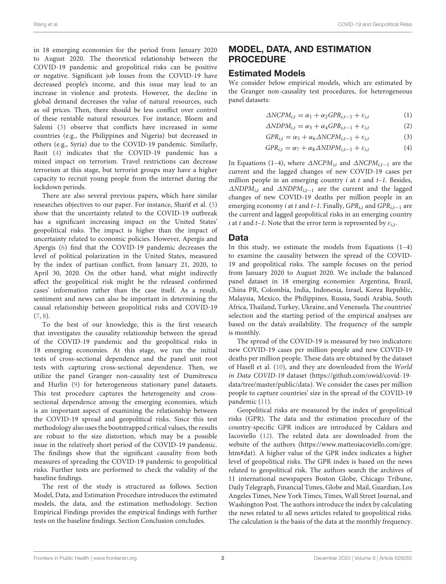in 18 emerging economies for the period from January 2020 to August 2020. The theoretical relationship between the COVID-19 pandemic and geopolitical risks can be positive or negative. Significant job losses from the COVID-19 have decreased people's income, and this issue may lead to an increase in violence and protests. However, the decline in global demand decreases the value of natural resources, such as oil prices. Then, there should be less conflict over control of these rentable natural resources. For instance, Bloem and Salemi [\(3\)](#page-4-2) observe that conflicts have increased in some countries (e.g., the Philippines and Nigeria) but decreased in others (e.g., Syria) due to the COVID-19 pandemic. Similarly, Basit [\(4\)](#page-4-3) indicates that the COVID-19 pandemic has a mixed impact on terrorism. Travel restrictions can decrease terrorism at this stage, but terrorist groups may have a higher capacity to recruit young people from the internet during the lockdown periods.

There are also several previous papers, which have similar researches objectives to our paper. For instance, Sharif et al. [\(5\)](#page-4-4) show that the uncertainty related to the COVID-19 outbreak has a significant increasing impact on the United States' geopolitical risks. The impact is higher than the impact of uncertainty related to economic policies. However, Apergis and Apergis [\(6\)](#page-4-5) find that the COVID-19 pandemic decreases the level of political polarization in the United States, measured by the index of partisan conflict, from January 21, 2020, to April 30, 2020. On the other hand, what might indirectly affect the geopolitical risk might be the released confirmed cases' information rather than the case itself. As a result, sentiment and news can also be important in determining the causal relationship between geopolitical risks and COVID-19 [\(7,](#page-4-6) [8\)](#page-4-7).

To the best of our knowledge, this is the first research that investigates the causality relationship between the spread of the COVID-19 pandemic and the geopolitical risks in 18 emerging economies. At this stage, we run the initial tests of cross-sectional dependence and the panel unit root tests with capturing cross-sectional dependence. Then, we utilize the panel Granger non-causality test of Dumitrescu and Hurlin [\(9\)](#page-4-8) for heterogeneous stationary panel datasets. This test procedure captures the heterogeneity and crosssectional dependence among the emerging economies, which is an important aspect of examining the relationship between the COVID-19 spread and geopolitical risks. Since this test methodology also uses the bootstrapped critical values, the results are robust to the size distortion, which may be a possible issue in the relatively short period of the COVID-19 pandemic. The findings show that the significant causality from both measures of spreading the COVID-19 pandemic to geopolitical risks. Further tests are performed to check the validity of the baseline findings.

The rest of the study is structured as follows. Section Model, Data, and Estimation Procedure introduces the estimated models, the data, and the estimation methodology. Section Empirical Findings provides the empirical findings with further tests on the baseline findings. Section Conclusion concludes.

# MODEL, DATA, AND ESTIMATION PROCEDURE

#### Estimated Models

We consider below empirical models, which are estimated by the Granger non-causality test procedures, for heterogeneous panel datasets:

$$
\Delta NCPM_{i,t} = \alpha_1 + \alpha_2 GPR_{i,t-1} + \varepsilon_{i,t} \tag{1}
$$

$$
\Delta NDPM_{i,t} = \alpha_3 + \alpha_4 GPR_{i,t-1} + \varepsilon_{i,t} \tag{2}
$$

$$
GPR_{i,t} = \alpha_5 + \alpha_6 \triangle NCPM_{i,t-1} + \varepsilon_{i,t}
$$
\n(3)

$$
GPR_{i,t} = \alpha_7 + \alpha_8 \triangle NDPM_{i,t-1} + \varepsilon_{i,t}
$$
\n(4)

In Equations (1–4), where  $\triangle NCPM$ <sub>i,t</sub> and  $\triangle NCPM$ <sub>i,t−1</sub> are the current and the lagged changes of new COVID-19 cases per million people in an emerging country  $i$  at  $t$  and  $t-1$ . Besides, ∆NDPM<sub>i,t</sub> and ∆NDPM<sub>i,t-1</sub> are the current and the lagged changes of new COVID-19 deaths per million people in an emerging economy *i* at t and t–1. Finally,  $GPR_{i,t}$  and  $GPR_{i,t-1}$  are the current and lagged geopolitical risks in an emerging country i at t and t-1. Note that the error term is represented by  $\varepsilon_{i,t}$ .

#### Data

In this study, we estimate the models from Equations  $(1-4)$ to examine the causality between the spread of the COVID-19 and geopolitical risks. The sample focuses on the period from January 2020 to August 2020. We include the balanced panel dataset in 18 emerging economies: Argentina, Brazil, China PR, Colombia, India, Indonesia, Israel, Korea Republic, Malaysia, Mexico, the Philippines, Russia, Saudi Arabia, South Africa, Thailand, Turkey, Ukraine, and Venezuela. The countries' selection and the starting period of the empirical analyses are based on the data's availability. The frequency of the sample is monthly.

The spread of the COVID-19 is measured by two indicators: new COVID-19 cases per million people and new COVID-19 deaths per million people. These data are obtained by the dataset of Hasell et al. [\(10\)](#page-4-9), and they are downloaded from the World in Data COVID-19 dataset [\(https://github.com/owid/covid-19](https://github.com/owid/covid-19-data/tree/master/public/data) [data/tree/master/public/data\)](https://github.com/owid/covid-19-data/tree/master/public/data). We consider the cases per million people to capture countries' size in the spread of the COVID-19 pandemic [\(11\)](#page-4-10).

Geopolitical risks are measured by the index of geopolitical risks (GPR). The data and the estimation procedure of the country-specific GPR indices are introduced by Caldara and Iacoviello [\(12\)](#page-4-11). The related data are downloaded from the website of the authors [\(https://www.matteoiacoviello.com/gpr.](https://www.matteoiacoviello.com/gpr.htm#dat) [htm#dat\)](https://www.matteoiacoviello.com/gpr.htm#dat). A higher value of the GPR index indicates a higher level of geopolitical risks. The GPR index is based on the news related to geopolitical risk. The authors search the archives of 11 international newspapers Boston Globe, Chicago Tribune, Daily Telegraph, Financial Times, Globe and Mail, Guardian, Los Angeles Times, New York Times, Times, Wall Street Journal, and Washington Post. The authors introduce the index by calculating the news related to all news articles related to geopolitical risks. The calculation is the basis of the data at the monthly frequency.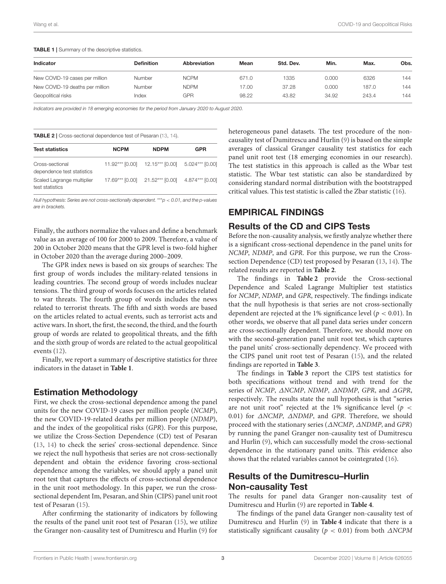<span id="page-2-0"></span>TABLE 1 | Summary of the descriptive statistics.

| Indicator                       | <b>Definition</b> | Abbreviation | Mean  | Std. Dev. | Min.  | Max.  | Obs. |
|---------------------------------|-------------------|--------------|-------|-----------|-------|-------|------|
| New COVID-19 cases per million  | <b>Number</b>     | <b>NCPM</b>  | 671.0 | 1335      | 0.000 | 6326  | 144  |
| New COVID-19 deaths per million | <b>Number</b>     | <b>NDPM</b>  | 17.00 | 37.28     | 0.000 | 187.0 | 144  |
| Geopolitical risks              | Index             | GPR          | 98.22 | 43.82     | 34.92 | 243.4 | 144  |

*Indicators are provided in 18 emerging economies for the period from January 2020 to August 2020.*

<span id="page-2-1"></span>TABLE 2 | Cross-sectional dependence test of Pesaran [\(13,](#page-4-12) [14\)](#page-4-13).

| <b>Test statistics</b>                        | <b>NCPM</b> | <b>NDPM</b>                                     | <b>GPR</b> |  |
|-----------------------------------------------|-------------|-------------------------------------------------|------------|--|
| Cross-sectional<br>dependence test statistics |             | 11.92*** [0.00] 12.15*** [0.00] 5.024*** [0.00] |            |  |
| Scaled Lagrange multiplier<br>test statistics |             | 17.69*** [0.00] 21.52*** [0.00] 4.874*** [0.00] |            |  |

*Null hypothesis: Series are not cross-sectionally dependent.* \*\*\**p* < *0.01, and the p-values are in brackets.*

Finally, the authors normalize the values and define a benchmark value as an average of 100 for 2000 to 2009. Therefore, a value of 200 in October 2020 means that the GPR level is two-fold higher in October 2020 than the average during 2000–2009.

The GPR index news is based on six groups of searches: The first group of words includes the military-related tensions in leading countries. The second group of words includes nuclear tensions. The third group of words focuses on the articles related to war threats. The fourth group of words includes the news related to terrorist threats. The fifth and sixth words are based on the articles related to actual events, such as terrorist acts and active wars. In short, the first, the second, the third, and the fourth group of words are related to geopolitical threats, and the fifth and the sixth group of words are related to the actual geopolitical events [\(12\)](#page-4-11).

Finally, we report a summary of descriptive statistics for three indicators in the dataset in **[Table 1](#page-2-0)**.

#### Estimation Methodology

First, we check the cross-sectional dependence among the panel units for the new COVID-19 cases per million people (NCMP), the new COVID-19-related deaths per million people (NDMP), and the index of the geopolitical risks (GPR). For this purpose, we utilize the Cross-Section Dependence (CD) test of Pesaran [\(13,](#page-4-12) [14\)](#page-4-13) to check the series' cross-sectional dependence. Since we reject the null hypothesis that series are not cross-sectionally dependent and obtain the evidence favoring cross-sectional dependence among the variables, we should apply a panel unit root test that captures the effects of cross-sectional dependence in the unit root methodology. In this paper, we run the crosssectional dependent Im, Pesaran, and Shin (CIPS) panel unit root test of Pesaran [\(15\)](#page-4-14).

After confirming the stationarity of indicators by following the results of the panel unit root test of Pesaran [\(15\)](#page-4-14), we utilize the Granger non-causality test of Dumitrescu and Hurlin [\(9\)](#page-4-8) for heterogeneous panel datasets. The test procedure of the noncausality test of Dumitrescu and Hurlin [\(9\)](#page-4-8) is based on the simple averages of classical Granger causality test statistics for each panel unit root test (18 emerging economies in our research). The test statistics in this approach is called as the Wbar test statistic. The Wbar test statistic can also be standardized by considering standard normal distribution with the bootstrapped critical values. This test statistic is called the Zbar statistic [\(16\)](#page-4-15).

### EMPIRICAL FINDINGS

#### Results of the CD and CIPS Tests

Before the non-causality analysis, we firstly analyze whether there is a significant cross-sectional dependence in the panel units for NCMP, NDMP, and GPR. For this purpose, we run the Crosssection Dependence (CD) test proposed by Pesaran [\(13,](#page-4-12) [14\)](#page-4-13). The related results are reported in **[Table 2](#page-2-1)**.

The findings in **[Table 2](#page-2-1)** provide the Cross-sectional Dependence and Scaled Lagrange Multiplier test statistics for NCMP, NDMP, and GPR, respectively. The findings indicate that the null hypothesis is that series are not cross-sectionally dependent are rejected at the 1% significance level ( $p < 0.01$ ). In other words, we observe that all panel data series under concern are cross-sectionally dependent. Therefore, we should move on with the second-generation panel unit root test, which captures the panel units' cross-sectionally dependency. We proceed with the CIPS panel unit root test of Pesaran [\(15\)](#page-4-14), and the related findings are reported in **[Table 3](#page-3-0)**.

The findings in **[Table 3](#page-3-0)** report the CIPS test statistics for both specifications without trend and with trend for the series of NCMP, ∆NCMP, NDMP, ∆NDMP, GPR, and ∆GPR, respectively. The results state the null hypothesis is that "series are not unit root" rejected at the 1% significance level ( $p <$ 0.01) for ∆NCMP, ∆NDMP, and GPR. Therefore, we should proceed with the stationary series (∆NCMP, ∆NDMP, and GPR) by running the panel Granger non-causality test of Dumitrescu and Hurlin [\(9\)](#page-4-8), which can successfully model the cross-sectional dependence in the stationary panel units. This evidence also shows that the related variables cannot be cointegrated [\(16\)](#page-4-15).

### Results of the Dumitrescu–Hurlin Non-causality Test

The results for panel data Granger non-causality test of Dumitrescu and Hurlin [\(9\)](#page-4-8) are reported in **[Table 4](#page-3-1)**.

The findings of the panel data Granger non-causality test of Dumitrescu and Hurlin [\(9\)](#page-4-8) in **[Table 4](#page-3-1)** indicate that there is a statistically significant causality ( $p < 0.01$ ) from both  $\triangle NCPM$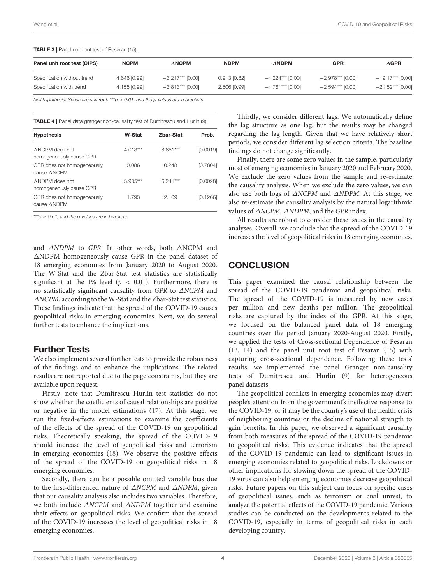<span id="page-3-0"></span>

| TABLE 3   Panel unit root test of Pesaran (15). |  |  |  |  |  |  |  |  |
|-------------------------------------------------|--|--|--|--|--|--|--|--|
|-------------------------------------------------|--|--|--|--|--|--|--|--|

| Panel unit root test (CIPS) | <b>NCPM</b>  | <b>ANCPM</b>       | <b>NDPM</b>    | <b>ANDPM</b>       | <b>GPR</b>        | $\Delta$ GPR       |
|-----------------------------|--------------|--------------------|----------------|--------------------|-------------------|--------------------|
| Specification without trend | 4.646 [0.99] | $-3.217***$ [0.00] | $0.913$ [0.82] | $-4.224***$ [0.00] | $-2978***$ [0.00] | $-1917***$ [0.00]  |
| Specification with trend    | 4.155 [0.99] | $-3.813***$ [0.00] | 2.506 [0.99]   | $-4.761***$ [0.00] | $-2594***$ [0.00] | $-21.52***$ [0.00] |

*Null hypothesis: Series are unit root.* \*\*\**p* < *0.01, and the p-values are in brackets.*

<span id="page-3-1"></span>TABLE 4 | Panel data granger non-causality test of Dumitrescu and Hurlin [\(9\)](#page-4-8).

| <b>W-Stat</b> | Zhar-Stat  | Prob.    |
|---------------|------------|----------|
| $4.013***$    | $6.661***$ | [0.0019] |
| 0.086         | 0.248      | [0.7804] |
| $3.905***$    | $6.241***$ | [0.0028] |
| 1.793         | 2.109      | [0.1266] |
|               |            |          |

\*\*\**p* < *0.01, and the p-values are in brackets.*

and  $\triangle NDPM$  to GPR. In other words, both  $\triangle NCPM$  and  $\triangle$ NDPM homogeneously cause GPR in the panel dataset of 18 emerging economies from January 2020 to August 2020. The W-Stat and the Zbar-Stat test statistics are statistically significant at the 1% level ( $p < 0.01$ ). Furthermore, there is no statistically significant causality from GPR to ∆NCPM and ∆NCPM, according to the W-Stat and the Zbar-Stat test statistics. These findings indicate that the spread of the COVID-19 causes geopolitical risks in emerging economies. Next, we do several further tests to enhance the implications.

#### Further Tests

We also implement several further tests to provide the robustness of the findings and to enhance the implications. The related results are not reported due to the page constraints, but they are available upon request.

Firstly, note that Dumitrescu–Hurlin test statistics do not show whether the coefficients of causal relationships are positive or negative in the model estimations [\(17\)](#page-4-16). At this stage, we run the fixed-effects estimations to examine the coefficients of the effects of the spread of the COVID-19 on geopolitical risks. Theoretically speaking, the spread of the COVID-19 should increase the level of geopolitical risks and terrorism in emerging economies [\(18\)](#page-4-17). We observe the positive effects of the spread of the COVID-19 on geopolitical risks in 18 emerging economies.

Secondly, there can be a possible omitted variable bias due to the first-differenced nature of ∆NCPM and ∆NDPM, given that our causality analysis also includes two variables. Therefore, we both include ∆NCPM and ∆NDPM together and examine their effects on geopolitical risks. We confirm that the spread of the COVID-19 increases the level of geopolitical risks in 18 emerging economies.

Thirdly, we consider different lags. We automatically define the lag structure as one lag, but the results may be changed regarding the lag length. Given that we have relatively short periods, we consider different lag selection criteria. The baseline findings do not change significantly.

Finally, there are some zero values in the sample, particularly most of emerging economies in January 2020 and February 2020. We exclude the zero values from the sample and re-estimate the causality analysis. When we exclude the zero values, we can also use both logs of ∆NCPM and ∆NDPM. At this stage, we also re-estimate the causality analysis by the natural logarithmic values of ∆NCPM, ∆NDPM, and the GPR index.

All results are robust to consider these issues in the causality analyses. Overall, we conclude that the spread of the COVID-19 increases the level of geopolitical risks in 18 emerging economies.

#### **CONCLUSION**

This paper examined the causal relationship between the spread of the COVID-19 pandemic and geopolitical risks. The spread of the COVID-19 is measured by new cases per million and new deaths per million. The geopolitical risks are captured by the index of the GPR. At this stage, we focused on the balanced panel data of 18 emerging countries over the period January 2020-August 2020. Firstly, we applied the tests of Cross-sectional Dependence of Pesaran [\(13,](#page-4-12) [14\)](#page-4-13) and the panel unit root test of Pesaran [\(15\)](#page-4-14) with capturing cross-sectional dependence. Following these tests' results, we implemented the panel Granger non-causality tests of Dumitrescu and Hurlin [\(9\)](#page-4-8) for heterogeneous panel datasets.

The geopolitical conflicts in emerging economies may divert people's attention from the government's ineffective response to the COVID-19, or it may be the country's use of the health crisis of neighboring countries or the decline of national strength to gain benefits. In this paper, we observed a significant causality from both measures of the spread of the COVID-19 pandemic to geopolitical risks. This evidence indicates that the spread of the COVID-19 pandemic can lead to significant issues in emerging economies related to geopolitical risks. Lockdowns or other implications for slowing down the spread of the COVID-19 virus can also help emerging economies decrease geopolitical risks. Future papers on this subject can focus on specific cases of geopolitical issues, such as terrorism or civil unrest, to analyze the potential effects of the COVID-19 pandemic. Various studies can be conducted on the developments related to the COVID-19, especially in terms of geopolitical risks in each developing country.